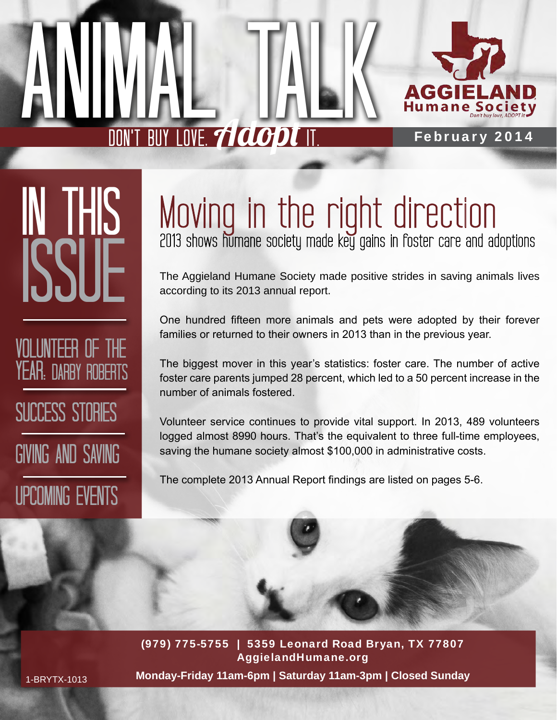

In This **ISSI** 

volunteer of the YEAR: DARBY ROBERTS SUCCESS STORIES

Giving and Saving

Upcoming Events

## Moving in the right direction 2013 shows humane society made key gains in foster care and adoptions

The Aggieland Humane Society made positive strides in saving animals lives according to its 2013 annual report.

One hundred fifteen more animals and pets were adopted by their forever families or returned to their owners in 2013 than in the previous year.

The biggest mover in this year's statistics: foster care. The number of active foster care parents jumped 28 percent, which led to a 50 percent increase in the number of animals fostered.

Volunteer service continues to provide vital support. In 2013, 489 volunteers logged almost 8990 hours. That's the equivalent to three full-time employees, saving the humane society almost \$100,000 in administrative costs.

The complete 2013 Annual Report findings are listed on pages 5-6.

(979) 775-5755 | 5359 Leonard Road Bryan, TX 77807 AggielandHumane.org **Monday-Friday 11am-6pm | Saturday 11am-3pm | Closed Sunday**

1-BRYTX-1013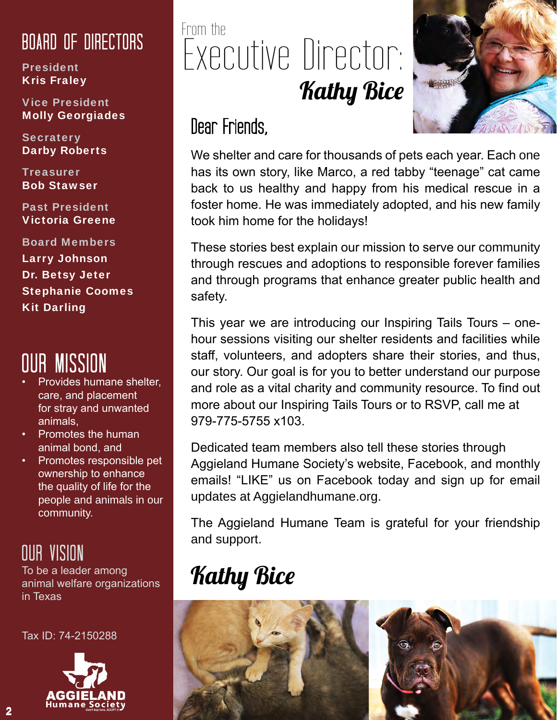#### Board of Directors

President Kris Fraley

Vice President Molly Georgiades

**Secratery** Darby Roberts

**Treasurer** Bob Stawser

Past President Victoria Greene

Board Members Larry Johnson Dr. Betsy Jeter Stephanie Coomes Kit Darling

## Our Mission

- Provides humane shelter, care, and placement for stray and unwanted animals,
- Promotes the human animal bond, and
- Promotes responsible pet ownership to enhance the quality of life for the people and animals in our community.

#### Our Vision

To be a leader among animal welfare organizations in Texas

Tax ID: 74-2150288



## From the Executive Director: **Kathy Bice**



#### Dear Friends,

We shelter and care for thousands of pets each year. Each one has its own story, like Marco, a red tabby "teenage" cat came back to us healthy and happy from his medical rescue in a foster home. He was immediately adopted, and his new family took him home for the holidays!

These stories best explain our mission to serve our community through rescues and adoptions to responsible forever families and through programs that enhance greater public health and safety.

This year we are introducing our Inspiring Tails Tours – onehour sessions visiting our shelter residents and facilities while staff, volunteers, and adopters share their stories, and thus, our story. Our goal is for you to better understand our purpose and role as a vital charity and community resource. To find out more about our Inspiring Tails Tours or to RSVP, call me at 979-775-5755 x103.

Dedicated team members also tell these stories through Aggieland Humane Society's website, Facebook, and monthly emails! "LIKE" us on Facebook today and sign up for email updates at Aggielandhumane.org.

The Aggieland Humane Team is grateful for your friendship and support.

## Kathy Bice

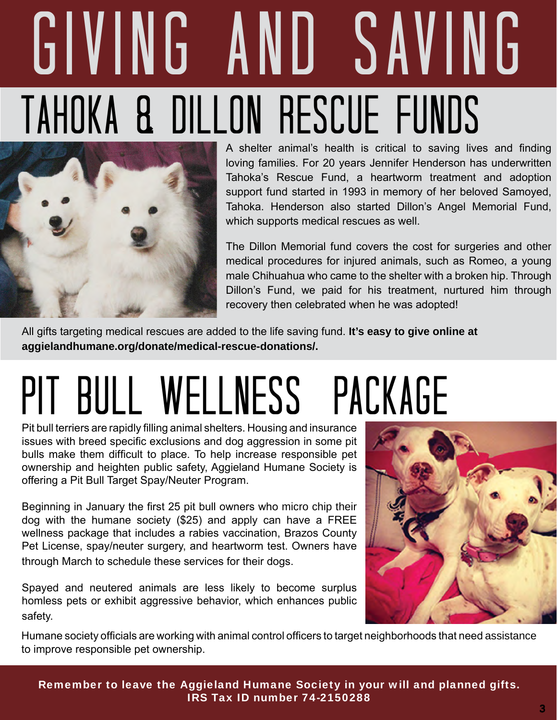## giving and saving tAHOKA & Dillon rESCUE fUNDs



A shelter animal's health is critical to saving lives and finding loving families. For 20 years Jennifer Henderson has underwritten Tahoka's Rescue Fund, a heartworm treatment and adoption support fund started in 1993 in memory of her beloved Samoyed, Tahoka. Henderson also started Dillon's Angel Memorial Fund, which supports medical rescues as well.

The Dillon Memorial fund covers the cost for surgeries and other medical procedures for injured animals, such as Romeo, a young male Chihuahua who came to the shelter with a broken hip. Through Dillon's Fund, we paid for his treatment, nurtured him through recovery then celebrated when he was adopted!

All gifts targeting medical rescues are added to the life saving fund. **It's easy to give online at aggielandhumane.org/donate/medical-rescue-donations/.**

## PIT BULL WELLNESS PACKAGE

Pit bull terriers are rapidly filling animal shelters. Housing and insurance issues with breed specific exclusions and dog aggression in some pit bulls make them difficult to place. To help increase responsible pet ownership and heighten public safety, Aggieland Humane Society is offering a Pit Bull Target Spay/Neuter Program.

Beginning in January the first 25 pit bull owners who micro chip their dog with the humane society (\$25) and apply can have a FREE wellness package that includes a rabies vaccination, Brazos County Pet License, spay/neuter surgery, and heartworm test. Owners have through March to schedule these services for their dogs.

Spayed and neutered animals are less likely to become surplus homless pets or exhibit aggressive behavior, which enhances public safety.



Humane society officials are working with animal control officers to target neighborhoods that need assistance to improve responsible pet ownership.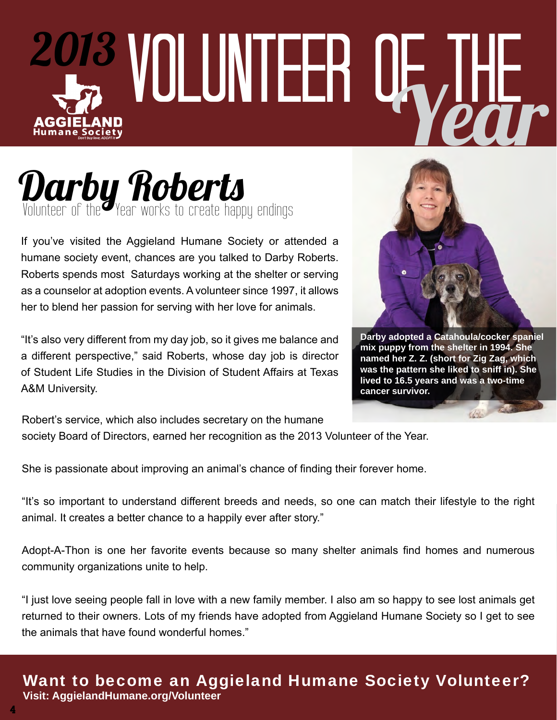### volunteer of the 2013 Year AGGIEL AND **Humane Society**

### Darby Roberts Volunteer of the Year works to create happy endings

If you've visited the Aggieland Humane Society or attended a humane society event, chances are you talked to Darby Roberts. Roberts spends most Saturdays working at the shelter or serving as a counselor at adoption events. A volunteer since 1997, it allows her to blend her passion for serving with her love for animals.

"It's also very different from my day job, so it gives me balance and a different perspective," said Roberts, whose day job is director of Student Life Studies in the Division of Student Affairs at Texas A&M University.



**Darby adopted a Catahoula/cocker spaniel mix puppy from the shelter in 1994. She named her Z. Z. (short for Zig Zag, which was the pattern she liked to sniff in). She lived to 16.5 years and was a two-time cancer survivor.**

Robert's service, which also includes secretary on the humane society Board of Directors, earned her recognition as the 2013 Volunteer of the Year.

She is passionate about improving an animal's chance of finding their forever home.

"It's so important to understand different breeds and needs, so one can match their lifestyle to the right animal. It creates a better chance to a happily ever after story."

Adopt-A-Thon is one her favorite events because so many shelter animals find homes and numerous community organizations unite to help.

"I just love seeing people fall in love with a new family member. I also am so happy to see lost animals get returned to their owners. Lots of my friends have adopted from Aggieland Humane Society so I get to see the animals that have found wonderful homes."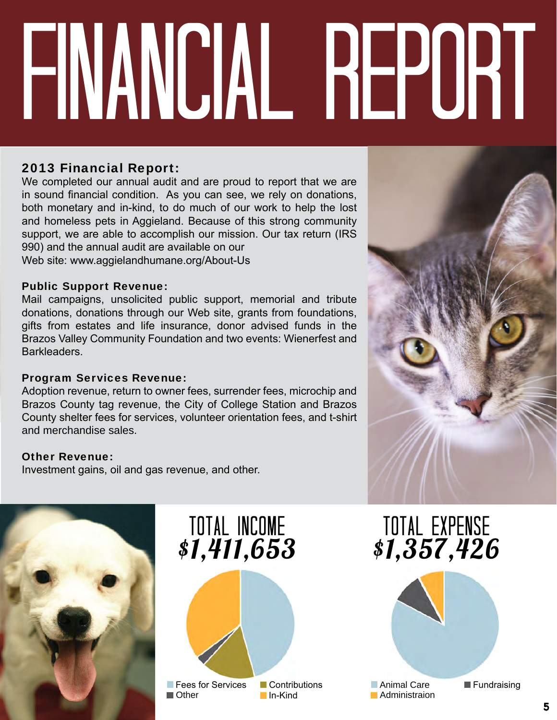# volunteer of the financial report

#### 2013 Financial Report:

We completed our annual audit and are proud to report that we are in sound financial condition. As you can see, we rely on donations, both monetary and in-kind, to do much of our work to help the lost and homeless pets in Aggieland. Because of this strong community support, we are able to accomplish our mission. Our tax return (IRS 990) and the annual audit are available on our Web site: www.aggielandhumane.org/About-Us

#### Public Support Revenue:

Mail campaigns, unsolicited public support, memorial and tribute donations, donations through our Web site, grants from foundations, gifts from estates and life insurance, donor advised funds in the Brazos Valley Community Foundation and two events: Wienerfest and Barkleaders.

#### Program Services Revenue:

Adoption revenue, return to owner fees, surrender fees, microchip and Brazos County tag revenue, the City of College Station and Brazos County shelter fees for services, volunteer orientation fees, and t-shirt and merchandise sales.

#### Other Revenue:

Investment gains, oil and gas revenue, and other.





total Expense \$1,357,426

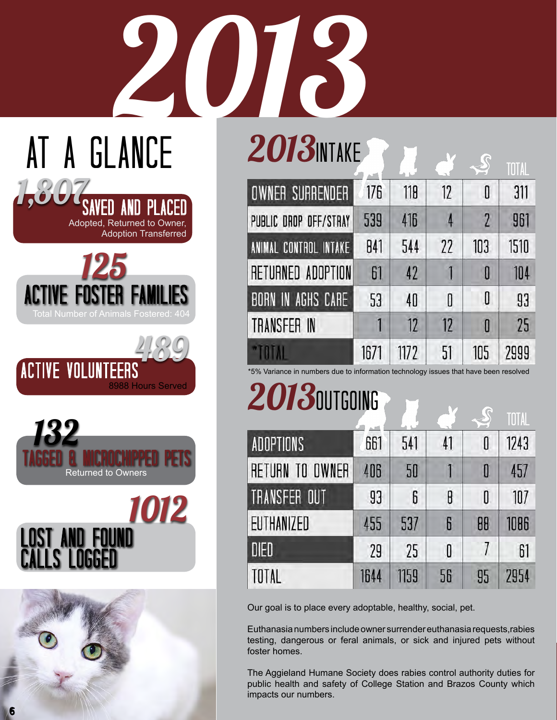## **2013 WIFE 2013 WINKERS** AT A GLANCE

|                          |      |      |    |     | TOTAL |
|--------------------------|------|------|----|-----|-------|
| <b>OWNER SURRENDER</b>   | 176  | 118  | 12 | 0   | 311   |
| PUBLIC DROP OFF/STRAY    | 539  | 416  |    | 2   | 961   |
| ANIMAL CONTROL INTAKE    | 841  | 544  | 22 | 103 | 1510  |
| RETURNED ADOPTION        | 61   | 42   |    | O   | 104   |
| <b>BORN IN AGHS CARE</b> | 53   | 40   | 0  | 0   | 93    |
| TRANSFER IN              |      | 12   | 17 | O   | 25    |
|                          | 1671 | 1172 | 51 | 105 | 2999  |

\*5% Variance in numbers due to information technology issues that have been resolved

## 2013 **DUTGOING**

|                  |      |      |    |    | TOTAL |
|------------------|------|------|----|----|-------|
| <b>ADOPTIONS</b> | 661  | 541  | 41 | 0  | 1243  |
| RETURN TO OWNER  | 406  | 50   |    | 0  | 457   |
| TRANSFER OUT     | 93   | 6    | 8  | 0  | 107   |
| EUTHANIZED       | 455  | 537  | 6  | 88 | 1086  |
| <b>DIED</b>      | 29   | 25   | 0  | 7  | 61    |
| TOTAL            | 1644 | 1159 | 56 | 95 | 2954  |

Our goal is to place every adoptable, healthy, social, pet.

Euthanasia numbers include owner surrender euthanasia requests,rabies testing, dangerous or feral animals, or sick and injured pets without foster homes.

The Aggieland Humane Society does rabies control authority duties for public health and safety of College Station and Brazos County which impacts our numbers.









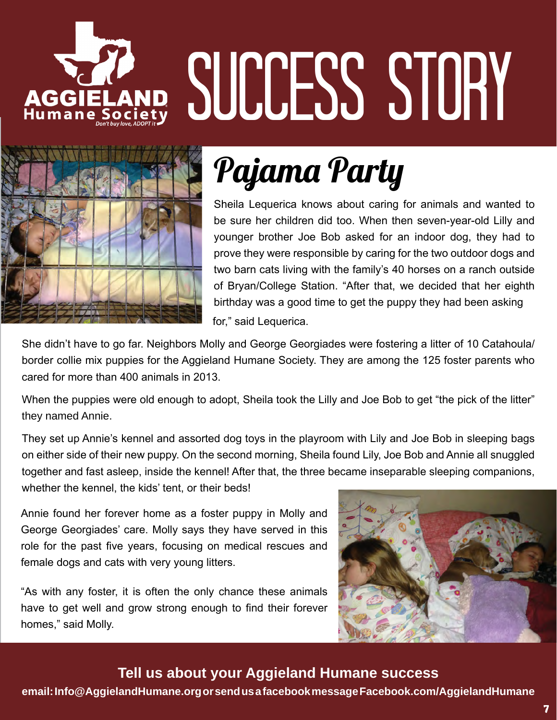# AGGIELAND SUCCESS STORY



## Pajama Party

Sheila Lequerica knows about caring for animals and wanted to be sure her children did too. When then seven-year-old Lilly and younger brother Joe Bob asked for an indoor dog, they had to prove they were responsible by caring for the two outdoor dogs and two barn cats living with the family's 40 horses on a ranch outside of Bryan/College Station. "After that, we decided that her eighth birthday was a good time to get the puppy they had been asking for," said Lequerica.

She didn't have to go far. Neighbors Molly and George Georgiades were fostering a litter of 10 Catahoula/ border collie mix puppies for the Aggieland Humane Society. They are among the 125 foster parents who cared for more than 400 animals in 2013.

When the puppies were old enough to adopt, Sheila took the Lilly and Joe Bob to get "the pick of the litter" they named Annie.

They set up Annie's kennel and assorted dog toys in the playroom with Lily and Joe Bob in sleeping bags on either side of their new puppy. On the second morning, Sheila found Lily, Joe Bob and Annie all snuggled together and fast asleep, inside the kennel! After that, the three became inseparable sleeping companions, whether the kennel, the kids' tent, or their beds!

Annie found her forever home as a foster puppy in Molly and George Georgiades' care. Molly says they have served in this role for the past five years, focusing on medical rescues and female dogs and cats with very young litters.

"As with any foster, it is often the only chance these animals have to get well and grow strong enough to find their forever homes," said Molly.



#### **Tell us about your Aggieland Humane success**

**email: Info@AggielandHumane.org or send us a facebook message Facebook.com/AggielandHumane**